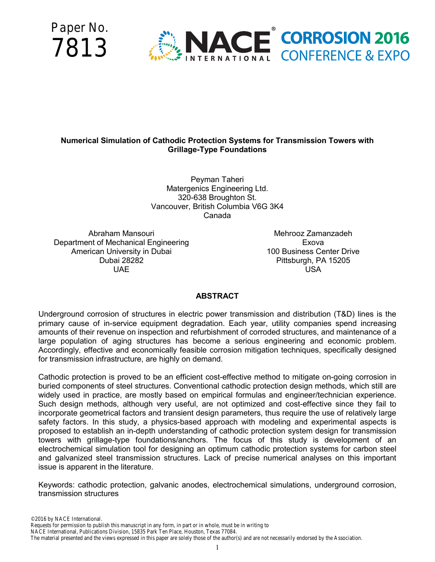



# **Numerical Simulation of Cathodic Protection Systems for Transmission Towers with Grillage-Type Foundations**

Peyman Taheri Matergenics Engineering Ltd. 320-638 Broughton St. Vancouver, British Columbia V6G 3K4 Canada

Abraham Mansouri Department of Mechanical Engineering American University in Dubai Dubai 28282 UAE

Mehrooz Zamanzadeh Exova 100 Business Center Drive Pittsburgh, PA 15205 USA

# **ABSTRACT**

Underground corrosion of structures in electric power transmission and distribution (T&D) lines is the primary cause of in-service equipment degradation. Each year, utility companies spend increasing amounts of their revenue on inspection and refurbishment of corroded structures, and maintenance of a large population of aging structures has become a serious engineering and economic problem. Accordingly, effective and economically feasible corrosion mitigation techniques, specifically designed for transmission infrastructure, are highly on demand.

Cathodic protection is proved to be an efficient cost-effective method to mitigate on-going corrosion in buried components of steel structures. Conventional cathodic protection design methods, which still are widely used in practice, are mostly based on empirical formulas and engineer/technician experience. Such design methods, although very useful, are not optimized and cost-effective since they fail to incorporate geometrical factors and transient design parameters, thus require the use of relatively large safety factors. In this study, a physics-based approach with modeling and experimental aspects is proposed to establish an in-depth understanding of cathodic protection system design for transmission towers with grillage-type foundations/anchors. The focus of this study is development of an electrochemical simulation tool for designing an optimum cathodic protection systems for carbon steel and galvanized steel transmission structures. Lack of precise numerical analyses on this important issue is apparent in the literature.

Keywords: cathodic protection, galvanic anodes, electrochemical simulations, underground corrosion, transmission structures

NACE International, Publications Division, 15835 Park Ten Place, Houston, Texas 77084.

The material presented and the views expressed in this paper are solely those of the author(s) and are not necessarily endorsed by the Association.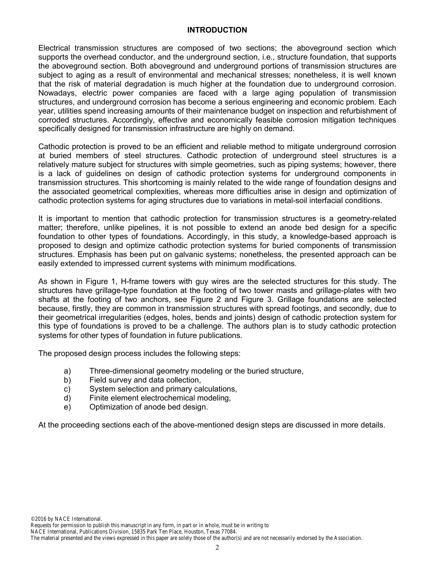#### **INTRODUCTION**

Electrical transmission structures are composed of two sections; the aboveground section which supports the overhead conductor, and the underground section, i.e., structure foundation, that supports the aboveground section. Both aboveground and underground portions of transmission structures are subject to aging as a result of environmental and mechanical stresses; nonetheless, it is well known that the risk of material degradation is much higher at the foundation due to underground corrosion. Nowadays, electric power companies are faced with a large aging population of transmission structures, and underground corrosion has become a serious engineering and economic problem. Each year, utilities spend increasing amounts of their maintenance budget on inspection and refurbishment of corroded structures. Accordingly, effective and economically feasible corrosion mitigation techniques specifically designed for transmission infrastructure are highly on demand.

Cathodic protection is proved to be an efficient and reliable method to mitigate underground corrosion at buried members of steel structures. Cathodic protection of underground steel structures is a relatively mature subject for structures with simple geometries, such as piping systems; however, there is a lack of guidelines on design of cathodic protection systems for underground components in transmission structures. This shortcoming is mainly related to the wide range of foundation designs and the associated geometrical complexities, whereas more difficulties arise in design and optimization of cathodic protection systems for aging structures due to variations in metal-soil interfacial conditions.

It is important to mention that cathodic protection for transmission structures is a geometry-related matter; therefore, unlike pipelines, it is not possible to extend an anode bed design for a specific foundation to other types of foundations. Accordingly, in this study, a knowledge-based approach is proposed to design and optimize cathodic protection systems for buried components of transmission structures. Emphasis has been put on galvanic systems; nonetheless, the presented approach can be easily extended to impressed current systems with minimum modifications.

As shown in Figure 1, H-frame towers with guy wires are the selected structures for this study. The structures have grillage-type foundation at the footing of two tower masts and grillage-plates with two shafts at the footing of two anchors, see Figure 2 and Figure 3. Grillage foundations are selected because, firstly, they are common in transmission structures with spread footings, and secondly, due to their geometrical irregularities (edges, holes, bends and joints) design of cathodic protection system for this type of foundations is proved to be a challenge. The authors plan is to study cathodic protection systems for other types of foundation in future publications.

The proposed design process includes the following steps:

- a) Three-dimensional geometry modeling or the buried structure,
- b) Field survey and data collection,
- c) System selection and primary calculations,
- d) Finite element electrochemical modeling,
- e) Optimization of anode bed design.

At the proceeding sections each of the above-mentioned design steps are discussed in more details.

Requests for permission to publish this manuscript in any form, in part or in whole, must be in writing to

NACE International, Publications Division, 15835 Park Ten Place, Houston, Texas 77084.

The material presented and the views expressed in this paper are solely those of the author(s) and are not necessarily endorsed by the Association.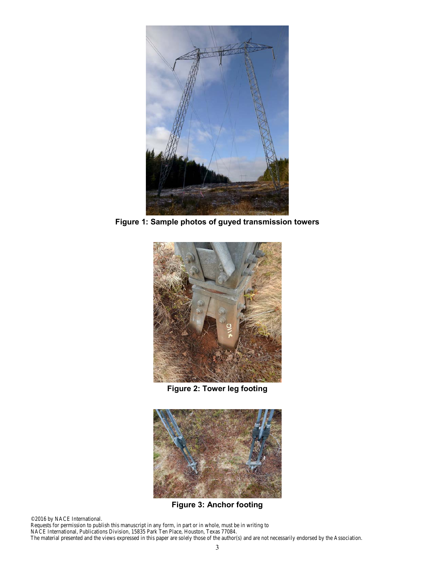

**Figure 1: Sample photos of guyed transmission towers**



**Figure 2: Tower leg footing** 



**Figure 3: Anchor footing** 

©2016 by NACE International.

Requests for permission to publish this manuscript in any form, in part or in whole, must be in writing to NACE International, Publications Division, 15835 Park Ten Place, Houston, Texas 77084. The material presented and the views expressed in this paper are solely those of the author(s) and are not necessarily endorsed by the Association.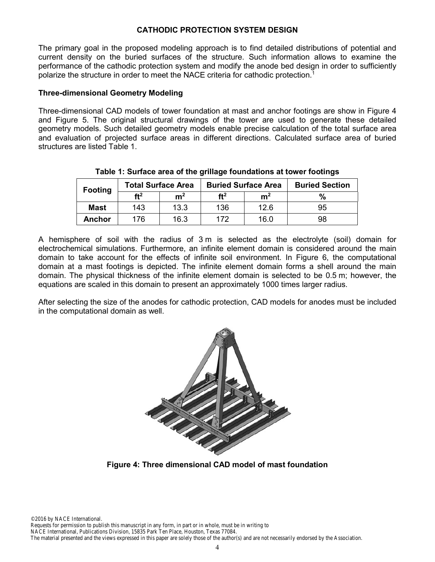# **CATHODIC PROTECTION SYSTEM DESIGN**

The primary goal in the proposed modeling approach is to find detailed distributions of potential and current density on the buried surfaces of the structure. Such information allows to examine the performance of the cathodic protection system and modify the anode bed design in order to sufficiently polarize the structure in order to meet the NACE criteria for cathodic protection.<sup>1</sup>

## **Three-dimensional Geometry Modeling**

Three-dimensional CAD models of tower foundation at mast and anchor footings are show in Figure 4 and Figure 5. The original structural drawings of the tower are used to generate these detailed geometry models. Such detailed geometry models enable precise calculation of the total surface area and evaluation of projected surface areas in different directions. Calculated surface area of buried structures are listed Table 1.

| <b>Footing</b> | <b>Total Surface Area</b> |                | <b>Buried Surface Area</b> |                | <b>Buried Section</b> |  |
|----------------|---------------------------|----------------|----------------------------|----------------|-----------------------|--|
|                | ft <sup>2</sup>           | m <sup>2</sup> | ft <sup>2</sup>            | m <sup>2</sup> | $\%$                  |  |
| <b>Mast</b>    | 143                       | 13.3           | 136                        | 12.6           | 95                    |  |
| <b>Anchor</b>  | 176.                      | 16.3           | 172                        | 16.0           | 98                    |  |

**Table 1: Surface area of the grillage foundations at tower footings** 

A hemisphere of soil with the radius of 3 m is selected as the electrolyte (soil) domain for electrochemical simulations. Furthermore, an infinite element domain is considered around the main domain to take account for the effects of infinite soil environment. In Figure 6, the computational domain at a mast footings is depicted. The infinite element domain forms a shell around the main domain. The physical thickness of the infinite element domain is selected to be 0.5 m; however, the equations are scaled in this domain to present an approximately 1000 times larger radius.

After selecting the size of the anodes for cathodic protection, CAD models for anodes must be included in the computational domain as well.



**Figure 4: Three dimensional CAD model of mast foundation**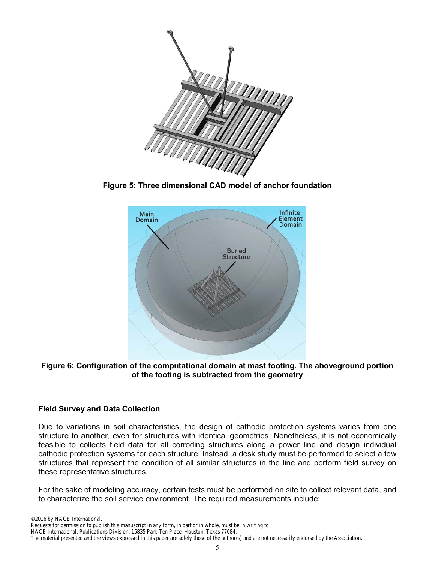

**Figure 5: Three dimensional CAD model of anchor foundation** 



**Figure 6: Configuration of the computational domain at mast footing. The aboveground portion of the footing is subtracted from the geometry** 

# **Field Survey and Data Collection**

Due to variations in soil characteristics, the design of cathodic protection systems varies from one structure to another, even for structures with identical geometries. Nonetheless, it is not economically feasible to collects field data for all corroding structures along a power line and design individual cathodic protection systems for each structure. Instead, a desk study must be performed to select a few structures that represent the condition of all similar structures in the line and perform field survey on these representative structures.

For the sake of modeling accuracy, certain tests must be performed on site to collect relevant data, and to characterize the soil service environment. The required measurements include: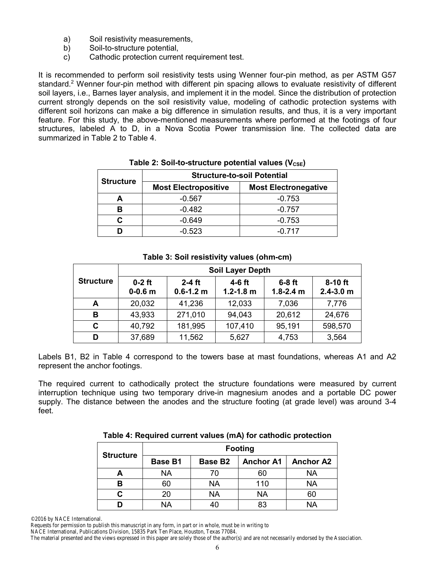- a) Soil resistivity measurements,
- b) Soil-to-structure potential.
- c) Cathodic protection current requirement test.

It is recommended to perform soil resistivity tests using Wenner four-pin method, as per ASTM G57 standard.<sup>2</sup> Wenner four-pin method with different pin spacing allows to evaluate resistivity of different soil layers, i.e., Barnes layer analysis, and implement it in the model. Since the distribution of protection current strongly depends on the soil resistivity value, modeling of cathodic protection systems with different soil horizons can make a big difference in simulation results, and thus, it is a very important feature. For this study, the above-mentioned measurements where performed at the footings of four structures, labeled A to D, in a Nova Scotia Power transmission line. The collected data are summarized in Table 2 to Table 4.

| <b>Structure</b> | <b>Structure-to-soil Potential</b> |                             |  |
|------------------|------------------------------------|-----------------------------|--|
|                  | <b>Most Electropositive</b>        | <b>Most Electronegative</b> |  |
|                  | $-0.567$                           | $-0.753$                    |  |
|                  | $-0.482$                           | $-0.757$                    |  |
|                  | $-0.649$                           | $-0.753$                    |  |
|                  | $-0.523$                           | $-0.717$                    |  |

## Table 2: Soil-to-structure potential values (V<sub>CSE</sub>)

## **Table 3: Soil resistivity values (ohm-cm)**

|                  | <b>Soil Layer Depth</b> |                           |                           |                           |                            |
|------------------|-------------------------|---------------------------|---------------------------|---------------------------|----------------------------|
| <b>Structure</b> | $0-2$ ft<br>$0 - 0.6$ m | $2-4$ ft<br>$0.6 - 1.2$ m | $4-6$ ft<br>$1.2 - 1.8$ m | $6-8$ ft<br>$1.8 - 2.4$ m | $8-10$ ft<br>$2.4 - 3.0$ m |
| А                | 20,032                  | 41,236                    | 12,033                    | 7,036                     | 7,776                      |
| в                | 43,933                  | 271,010                   | 94,043                    | 20,612                    | 24,676                     |
| C                | 40,792                  | 181,995                   | 107,410                   | 95,191                    | 598,570                    |
| D                | 37,689                  | 11,562                    | 5,627                     | 4,753                     | 3,564                      |

Labels B1, B2 in Table 4 correspond to the towers base at mast foundations, whereas A1 and A2 represent the anchor footings.

The required current to cathodically protect the structure foundations were measured by current interruption technique using two temporary drive-in magnesium anodes and a portable DC power supply. The distance between the anodes and the structure footing (at grade level) was around 3-4 feet.

| <b>Structure</b> | <b>Footing</b> |                     |                  |                  |  |
|------------------|----------------|---------------------|------------------|------------------|--|
|                  | <b>Base B1</b> | Base B <sub>2</sub> | <b>Anchor A1</b> | <b>Anchor A2</b> |  |
|                  | <b>NA</b>      | 70                  | 60               | <b>NA</b>        |  |
| в                | 60             | <b>NA</b>           | 110              | NA               |  |
|                  | 20             | NA                  | <b>NA</b>        | 60               |  |
|                  | NA             | 40                  | 83               | NΑ               |  |

#### **Table 4: Required current values (mA) for cathodic protection**

Requests for permission to publish this manuscript in any form, in part or in whole, must be in writing to

NACE International, Publications Division, 15835 Park Ten Place, Houston, Texas 77084.

The material presented and the views expressed in this paper are solely those of the author(s) and are not necessarily endorsed by the Association.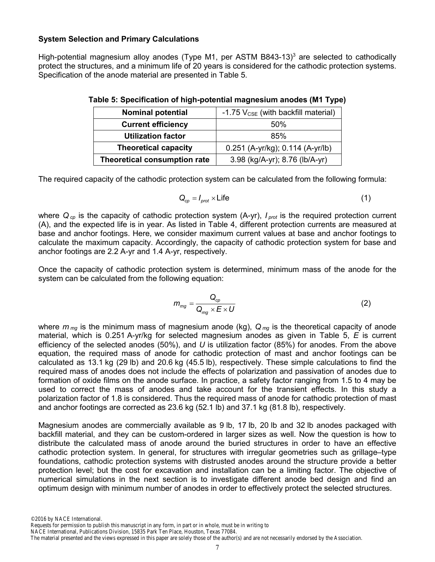## **System Selection and Primary Calculations**

High-potential magnesium alloy anodes (Type M1, per ASTM B843-13)<sup>3</sup> are selected to cathodically protect the structures, and a minimum life of 20 years is considered for the cathodic protection systems. Specification of the anode material are presented in Table 5.

| <b>Nominal potential</b>            | -1.75 V <sub>CSE</sub> (with backfill material) |
|-------------------------------------|-------------------------------------------------|
| <b>Current efficiency</b>           | 50%                                             |
| <b>Utilization factor</b>           | 85%                                             |
| <b>Theoretical capacity</b>         | 0.251 (A-yr/kg); 0.114 (A-yr/lb)                |
| <b>Theoretical consumption rate</b> | 3.98 (kg/A-yr); 8.76 (lb/A-yr)                  |

| Table 5: Specification of high-potential magnesium anodes (M1 Type) |  |  |
|---------------------------------------------------------------------|--|--|
|                                                                     |  |  |

The required capacity of the cathodic protection system can be calculated from the following formula:

$$
Q_{cp} = I_{prot} \times \text{Life}
$$
 (1)

where  $Q_{cp}$  is the capacity of cathodic protection system (A-yr),  $I_{prot}$  is the required protection current (A), and the expected life is in year. As listed in Table 4, different protection currents are measured at base and anchor footings. Here, we consider maximum current values at base and anchor footings to calculate the maximum capacity. Accordingly, the capacity of cathodic protection system for base and anchor footings are 2.2 A-yr and 1.4 A-yr, respectively.

Once the capacity of cathodic protection system is determined, minimum mass of the anode for the system can be calculated from the following equation:

$$
m_{mg} = \frac{Q_{cp}}{Q_{mg} \times E \times U}
$$
 (2)

where *m mg* is the minimum mass of magnesium anode (kg), *Q mg* is the theoretical capacity of anode material, which is 0.251 A-yr/kg for selected magnesium anodes as given in Table 5, *E* is current efficiency of the selected anodes (50%), and *U* is utilization factor (85%) for anodes. From the above equation, the required mass of anode for cathodic protection of mast and anchor footings can be calculated as 13.1 kg (29 lb) and 20.6 kg (45.5 lb), respectively. These simple calculations to find the required mass of anodes does not include the effects of polarization and passivation of anodes due to formation of oxide films on the anode surface. In practice, a safety factor ranging from 1.5 to 4 may be used to correct the mass of anodes and take account for the transient effects. In this study a polarization factor of 1.8 is considered. Thus the required mass of anode for cathodic protection of mast and anchor footings are corrected as 23.6 kg (52.1 lb) and 37.1 kg (81.8 lb), respectively.

Magnesium anodes are commercially available as 9 lb, 17 lb, 20 lb and 32 lb anodes packaged with backfill material, and they can be custom-ordered in larger sizes as well. Now the question is how to distribute the calculated mass of anode around the buried structures in order to have an effective cathodic protection system. In general, for structures with irregular geometries such as grillage–type foundations, cathodic protection systems with distrusted anodes around the structure provide a better protection level; but the cost for excavation and installation can be a limiting factor. The objective of numerical simulations in the next section is to investigate different anode bed design and find an optimum design with minimum number of anodes in order to effectively protect the selected structures.

©2016 by NACE International.

Requests for permission to publish this manuscript in any form, in part or in whole, must be in writing to

NACE International, Publications Division, 15835 Park Ten Place, Houston, Texas 77084.

The material presented and the views expressed in this paper are solely those of the author(s) and are not necessarily endorsed by the Association.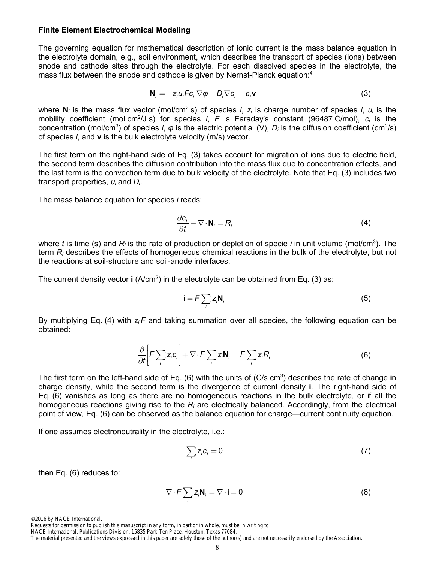#### **Finite Element Electrochemical Modeling**

The governing equation for mathematical description of ionic current is the mass balance equation in the electrolyte domain, e.g., soil environment, which describes the transport of species (ions) between anode and cathode sites through the electrolyte. For each dissolved species in the electrolyte, the mass flux between the anode and cathode is given by Nernst-Planck equation:4

$$
\mathbf{N}_i = -z_i u_i F c_i \nabla \varphi - D_i \nabla c_i + c_i \mathbf{v}
$$
 (3)

where **N**<sub>*i*</sub> is the mass flux vector (mol/cm<sup>2</sup> s) of species *i*, *z<sub>i</sub>* is charge number of species *i*, *u<sub>i</sub>* is the mobility coefficient (mol cm<sup>2</sup>/J s) for species *i*, *F* is Faraday's constant (96487 C/mol), *c<sub>i</sub>* is the concentration (mol/cm<sup>3</sup>) of species *i*, *φ* is the electric potential (V), *D<sub>i</sub>* is the diffusion coefficient (cm<sup>2</sup>/s) of species *i*, and **v** is the bulk electrolyte velocity (m/s) vector.

The first term on the right-hand side of Eq. (3) takes account for migration of ions due to electric field, the second term describes the diffusion contribution into the mass flux due to concentration effects, and the last term is the convection term due to bulk velocity of the electrolyte. Note that Eq. (3) includes two transport properties, *ui* and *Di*.

The mass balance equation for species *i* reads:

$$
\frac{\partial \mathbf{c}_i}{\partial t} + \nabla \cdot \mathbf{N}_i = \mathbf{R}_i
$$
 (4)

where *t* is time (s) and *Ri* is the rate of production or depletion of specie *i* in unit volume (mol/cm3 ). The term *Ri* describes the effects of homogeneous chemical reactions in the bulk of the electrolyte, but not the reactions at soil-structure and soil-anode interfaces.

The current density vector  $\mathbf{i}$  (A/cm<sup>2</sup>) in the electrolyte can be obtained from Eq. (3) as:

$$
\mathbf{i} = F \sum_{i} z_{i} \mathbf{N}_{i}
$$
 (5)

By multiplying Eq. (4) with *zi F* and taking summation over all species, the following equation can be obtained:

$$
\frac{\partial}{\partial t} \bigg[ F \sum_{i} z_{i} c_{i} \bigg] + \nabla \cdot F \sum_{i} z_{i} \mathbf{N}_{i} = F \sum_{i} z_{i} R_{i}
$$
(6)

The first term on the left-hand side of Eq. (6) with the units of (C/s cm<sup>3</sup>) describes the rate of change in charge density, while the second term is the divergence of current density **i**. The right-hand side of Eq. (6) vanishes as long as there are no homogeneous reactions in the bulk electrolyte, or if all the homogeneous reactions giving rise to the *Ri* are electrically balanced. Accordingly, from the electrical point of view, Eq. (6) can be observed as the balance equation for charge—current continuity equation.

If one assumes electroneutrality in the electrolyte, i.e.:

$$
\sum_{i} z_{i} c_{i} = 0 \tag{7}
$$

then Eq. (6) reduces to:

$$
\nabla \cdot \mathbf{F} \sum_{i} \mathbf{z}_{i} \mathbf{N}_{i} = \nabla \cdot \mathbf{i} = 0
$$
 (8)

Requests for permission to publish this manuscript in any form, in part or in whole, must be in writing to

NACE International, Publications Division, 15835 Park Ten Place, Houston, Texas 77084.

The material presented and the views expressed in this paper are solely those of the author(s) and are not necessarily endorsed by the Association.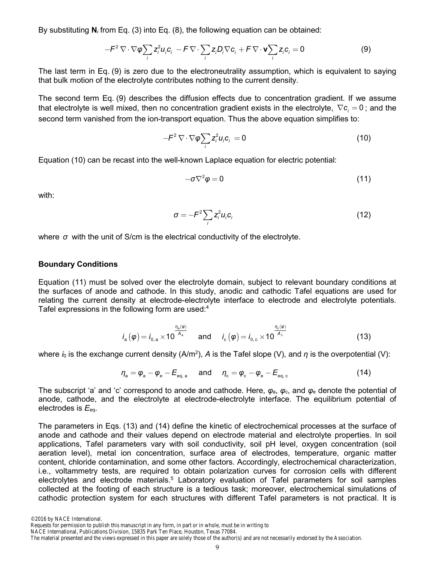By substituting **N***i* from Eq. (3) into Eq. (8), the following equation can be obtained:

$$
-F^2 \nabla \cdot \nabla \varphi \sum_i z_i^2 u_i c_i - F \nabla \cdot \sum_i z_i D_i \nabla c_i + F \nabla \cdot \mathbf{v} \sum_i z_i c_i = 0
$$
 (9)

The last term in Eq. (9) is zero due to the electroneutrality assumption, which is equivalent to saying that bulk motion of the electrolyte contributes nothing to the current density.

The second term Eq. (9) describes the diffusion effects due to concentration gradient. If we assume that electrolyte is well mixed, then no concentration gradient exists in the electrolyte,  $\nabla c_i = 0$ ; and the second term vanished from the ion-transport equation. Thus the above equation simplifies to:

$$
-F^2 \nabla \cdot \nabla \varphi \sum_i z_i^2 u_i c_i = 0 \qquad (10)
$$

Equation (10) can be recast into the well-known Laplace equation for electric potential:

$$
-\sigma \nabla^2 \varphi = 0 \tag{11}
$$

with:

$$
\sigma = -F^2 \sum_i z_i^2 u_i c_i \tag{12}
$$

where *σ* with the unit of S/cm is the electrical conductivity of the electrolyte.

#### **Boundary Conditions**

Equation (11) must be solved over the electrolyte domain, subject to relevant boundary conditions at the surfaces of anode and cathode. In this study, anodic and cathodic Tafel equations are used for relating the current density at electrode-electrolyte interface to electrode and electrolyte potentials. Tafel expressions in the following form are used:<sup>4</sup>

$$
i_a(\varphi) = i_{0,a} \times 10^{\frac{\eta_a(\varphi)}{A_a}}
$$
 and  $i_c(\varphi) = i_{0,c} \times 10^{\frac{\eta_c(\varphi)}{A_c}}$  (13)

where *i*<sub>0</sub> is the exchange current density (A/m²), *A* is the Tafel slope (V), and *η* is the overpotential (V):

$$
\eta_{\scriptscriptstyle a} = \varphi_{\scriptscriptstyle a} - \varphi_{\scriptscriptstyle e} - E_{\scriptscriptstyle \text{eq},\,\text{a}} \quad \text{and} \quad \eta_{\scriptscriptstyle c} = \varphi_{\scriptscriptstyle c} - \varphi_{\scriptscriptstyle e} - E_{\scriptscriptstyle \text{eq},\,\text{c}} \tag{14}
$$

The subscript 'a' and 'c' correspond to anode and cathode. Here,  $\varphi_a$ ,  $\varphi_c$ , and  $\varphi_e$  denote the potential of anode, cathode, and the electrolyte at electrode-electrolyte interface. The equilibrium potential of electrodes is  $E_{\text{eq}}$ .

The parameters in Eqs. (13) and (14) define the kinetic of electrochemical processes at the surface of anode and cathode and their values depend on electrode material and electrolyte properties. In soil applications, Tafel parameters vary with soil conductivity, soil pH level, oxygen concentration (soil aeration level), metal ion concentration, surface area of electrodes, temperature, organic matter content, chloride contamination, and some other factors. Accordingly, electrochemical characterization, i.e., voltammetry tests, are required to obtain polarization curves for corrosion cells with different electrolytes and electrode materials.<sup>5</sup> Laboratory evaluation of Tafel parameters for soil samples collected at the footing of each structure is a tedious task; moreover, electrochemical simulations of cathodic protection system for each structures with different Tafel parameters is not practical. It is

NACE International, Publications Division, 15835 Park Ten Place, Houston, Texas 77084.

The material presented and the views expressed in this paper are solely those of the author(s) and are not necessarily endorsed by the Association.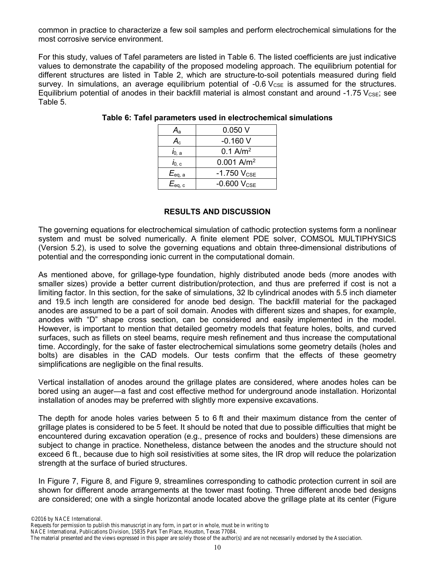common in practice to characterize a few soil samples and perform electrochemical simulations for the most corrosive service environment.

For this study, values of Tafel parameters are listed in Table 6. The listed coefficients are just indicative values to demonstrate the capability of the proposed modeling approach. The equilibrium potential for different structures are listed in Table 2, which are structure-to-soil potentials measured during field survey. In simulations, an average equilibrium potential of  $-0.6$   $V_{\text{CSE}}$  is assumed for the structures. Equilibrium potential of anodes in their backfill material is almost constant and around -1.75  $V_{\text{CSE}}$ ; see Table 5.

| $A_{\rm a}$                           | 0.050V                   |
|---------------------------------------|--------------------------|
| $A_{\rm c}$                           | $-0.160V$                |
| $\dot{\mathbf{l}}_{0, \; \mathbf{a}}$ | $0.1$ A/m <sup>2</sup>   |
| $i_{0, c}$                            | $0.001$ A/m <sup>2</sup> |
| $E_{\text{eq, a}}$                    | $-1.750$ $V_{CSE}$       |
| $E_{\rm eq,\ c}$                      | $-0.600$ $V_{CSE}$       |

## **Table 6: Tafel parameters used in electrochemical simulations**

# **RESULTS AND DISCUSSION**

The governing equations for electrochemical simulation of cathodic protection systems form a nonlinear system and must be solved numerically. A finite element PDE solver, COMSOL MULTIPHYSICS (Version 5.2), is used to solve the governing equations and obtain three-dimensional distributions of potential and the corresponding ionic current in the computational domain.

As mentioned above, for grillage-type foundation, highly distributed anode beds (more anodes with smaller sizes) provide a better current distribution/protection, and thus are preferred if cost is not a limiting factor. In this section, for the sake of simulations, 32 lb cylindrical anodes with 5.5 inch diameter and 19.5 inch length are considered for anode bed design. The backfill material for the packaged anodes are assumed to be a part of soil domain. Anodes with different sizes and shapes, for example, anodes with "D" shape cross section, can be considered and easily implemented in the model. However, is important to mention that detailed geometry models that feature holes, bolts, and curved surfaces, such as fillets on steel beams, require mesh refinement and thus increase the computational time. Accordingly, for the sake of faster electrochemical simulations some geometry details (holes and bolts) are disables in the CAD models. Our tests confirm that the effects of these geometry simplifications are negligible on the final results.

Vertical installation of anodes around the grillage plates are considered, where anodes holes can be bored using an auger—a fast and cost effective method for underground anode installation. Horizontal installation of anodes may be preferred with slightly more expensive excavations.

The depth for anode holes varies between 5 to 6 ft and their maximum distance from the center of grillage plates is considered to be 5 feet. It should be noted that due to possible difficulties that might be encountered during excavation operation (e.g., presence of rocks and boulders) these dimensions are subject to change in practice. Nonetheless, distance between the anodes and the structure should not exceed 6 ft., because due to high soil resistivities at some sites, the IR drop will reduce the polarization strength at the surface of buried structures.

In Figure 7, Figure 8, and Figure 9, streamlines corresponding to cathodic protection current in soil are shown for different anode arrangements at the tower mast footing. Three different anode bed designs are considered; one with a single horizontal anode located above the grillage plate at its center (Figure

NACE International, Publications Division, 15835 Park Ten Place, Houston, Texas 77084.

The material presented and the views expressed in this paper are solely those of the author(s) and are not necessarily endorsed by the Association.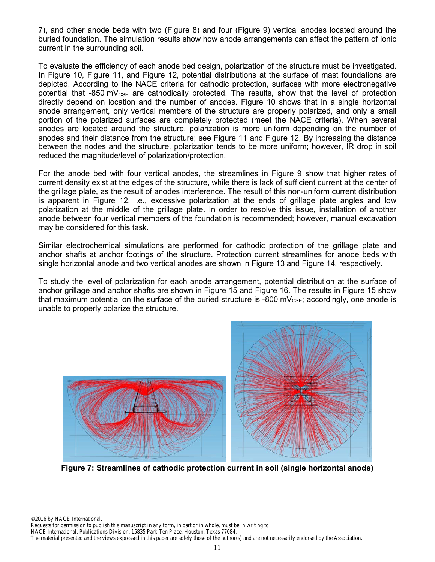7), and other anode beds with two (Figure 8) and four (Figure 9) vertical anodes located around the buried foundation. The simulation results show how anode arrangements can affect the pattern of ionic current in the surrounding soil.

To evaluate the efficiency of each anode bed design, polarization of the structure must be investigated. In Figure 10, Figure 11, and Figure 12, potential distributions at the surface of mast foundations are depicted. According to the NACE criteria for cathodic protection, surfaces with more electronegative potential that -850 mV $_{CSE}$  are cathodically protected. The results, show that the level of protection directly depend on location and the number of anodes. Figure 10 shows that in a single horizontal anode arrangement, only vertical members of the structure are properly polarized, and only a small portion of the polarized surfaces are completely protected (meet the NACE criteria). When several anodes are located around the structure, polarization is more uniform depending on the number of anodes and their distance from the structure; see Figure 11 and Figure 12. By increasing the distance between the nodes and the structure, polarization tends to be more uniform; however, IR drop in soil reduced the magnitude/level of polarization/protection.

For the anode bed with four vertical anodes, the streamlines in Figure 9 show that higher rates of current density exist at the edges of the structure, while there is lack of sufficient current at the center of the grillage plate, as the result of anodes interference. The result of this non-uniform current distribution is apparent in Figure 12, i.e., excessive polarization at the ends of grillage plate angles and low polarization at the middle of the grillage plate. In order to resolve this issue, installation of another anode between four vertical members of the foundation is recommended; however, manual excavation may be considered for this task.

Similar electrochemical simulations are performed for cathodic protection of the grillage plate and anchor shafts at anchor footings of the structure. Protection current streamlines for anode beds with single horizontal anode and two vertical anodes are shown in Figure 13 and Figure 14, respectively.

To study the level of polarization for each anode arrangement, potential distribution at the surface of anchor grillage and anchor shafts are shown in Figure 15 and Figure 16. The results in Figure 15 show that maximum potential on the surface of the buried structure is -800 mV $_{\text{CSE}}$ ; accordingly, one anode is unable to properly polarize the structure.



**Figure 7: Streamlines of cathodic protection current in soil (single horizontal anode)**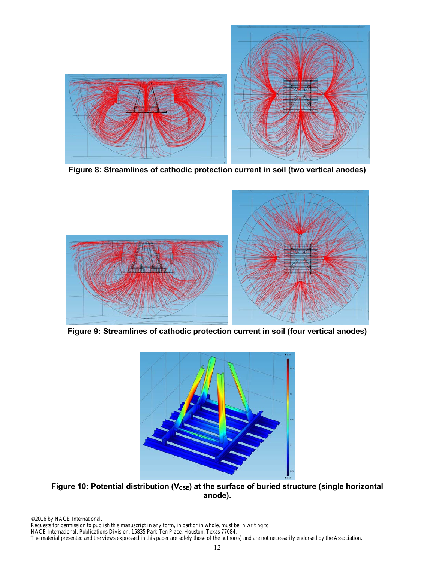

**Figure 8: Streamlines of cathodic protection current in soil (two vertical anodes)** 



**Figure 9: Streamlines of cathodic protection current in soil (four vertical anodes)** 



Figure 10: Potential distribution (V<sub>CSE</sub>) at the surface of buried structure (single horizontal **anode).**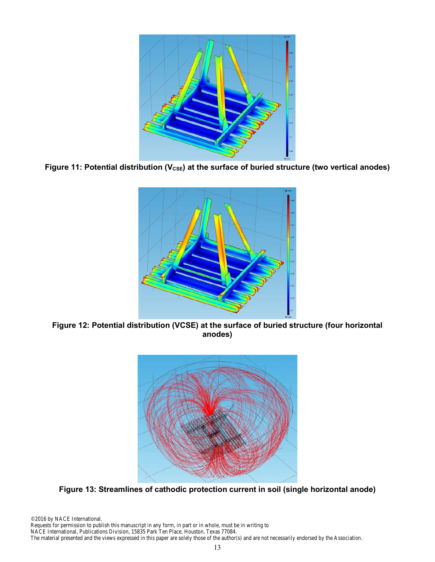

Figure 11: Potential distribution (V<sub>CSE</sub>) at the surface of buried structure (two vertical anodes)



**Figure 12: Potential distribution (VCSE) at the surface of buried structure (four horizontal anodes)** 



**Figure 13: Streamlines of cathodic protection current in soil (single horizontal anode)** 

©2016 by NACE International. Requests for permission to publish this manuscript in any form, in part or in whole, must be in writing to NACE International, Publications Division, 15835 Park Ten Place, Houston, Texas 77084. The material presented and the views expressed in this paper are solely those of the author(s) and are not necessarily endorsed by the Association.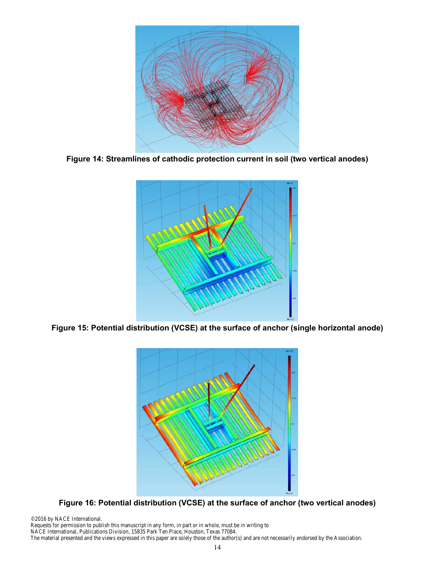

**Figure 14: Streamlines of cathodic protection current in soil (two vertical anodes)** 



**Figure 15: Potential distribution (VCSE) at the surface of anchor (single horizontal anode)** 



**Figure 16: Potential distribution (VCSE) at the surface of anchor (two vertical anodes)** 

©2016 by NACE International. Requests for permission to publish this manuscript in any form, in part or in whole, must be in writing to NACE International, Publications Division, 15835 Park Ten Place, Houston, Texas 77084. The material presented and the views expressed in this paper are solely those of the author(s) and are not necessarily endorsed by the Association.